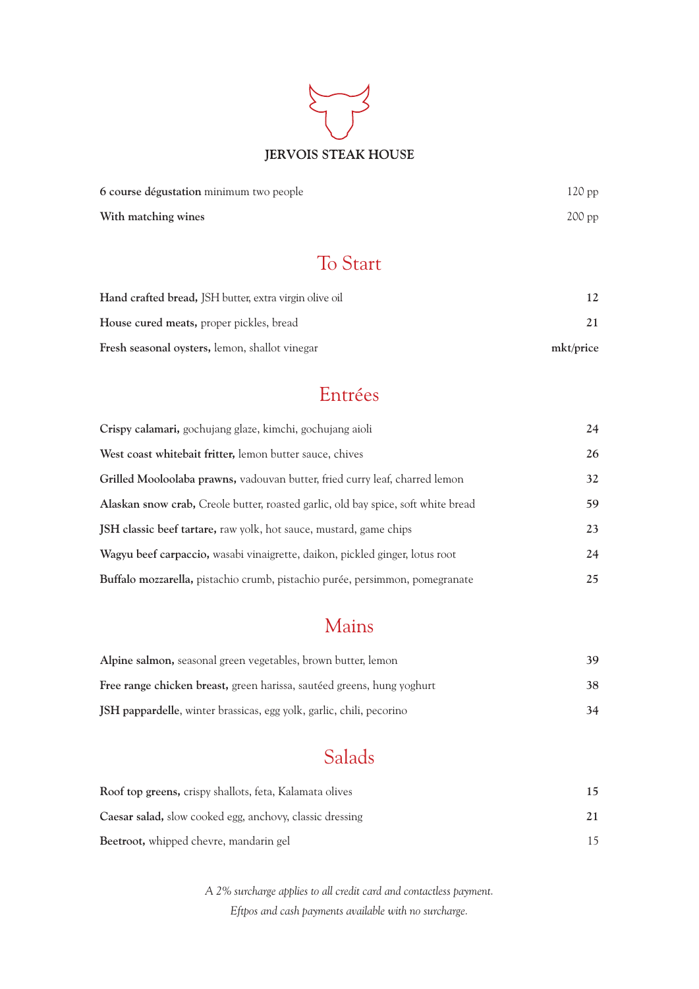# **JERVOIS STEAK HOUSE**

| 6 course dégustation minimum two people | $120$ pp |
|-----------------------------------------|----------|
| With matching wines                     | $200$ pp |

## To Start

| <b>Hand crafted bread, JSH butter, extra virgin olive oil</b> |           |
|---------------------------------------------------------------|-----------|
| <b>House cured meats, proper pickles, bread</b>               |           |
| <b>Fresh seasonal oysters, lemon, shallot vinegar</b>         | mkt/price |

## Entrées

| Crispy calamari, gochujang glaze, kimchi, gochujang aioli                         | 24 |
|-----------------------------------------------------------------------------------|----|
| West coast whitebait fritter, lemon butter sauce, chives                          | 26 |
| Grilled Mooloolaba prawns, vadouvan butter, fried curry leaf, charred lemon       | 32 |
| Alaskan snow crab, Creole butter, roasted garlic, old bay spice, soft white bread | 59 |
| <b>JSH</b> classic beef tartare, raw yolk, hot sauce, mustard, game chips         | 23 |
| Wagyu beef carpaccio, wasabi vinaigrette, daikon, pickled ginger, lotus root      | 24 |
| Buffalo mozzarella, pistachio crumb, pistachio purée, persimmon, pomegranate      | 25 |

## Mains

| Alpine salmon, seasonal green vegetables, brown butter, lemon                 | 39. |
|-------------------------------------------------------------------------------|-----|
| <b>Free range chicken breast, green harissa, sautéed greens, hung yoghurt</b> | 38. |
| JSH pappardelle, winter brassicas, egg yolk, garlic, chili, pecorino          | 34  |

# Salads

| Roof top greens, crispy shallots, feta, Kalamata olives         | 15 |
|-----------------------------------------------------------------|----|
| <b>Caesar salad, slow cooked egg, anchovy, classic dressing</b> |    |
| <b>Beetroot,</b> whipped chevre, mandarin gel                   |    |

*A 2% surcharge applies to all credit card and contactless payment. Eftpos and cash payments available with no surcharge.*